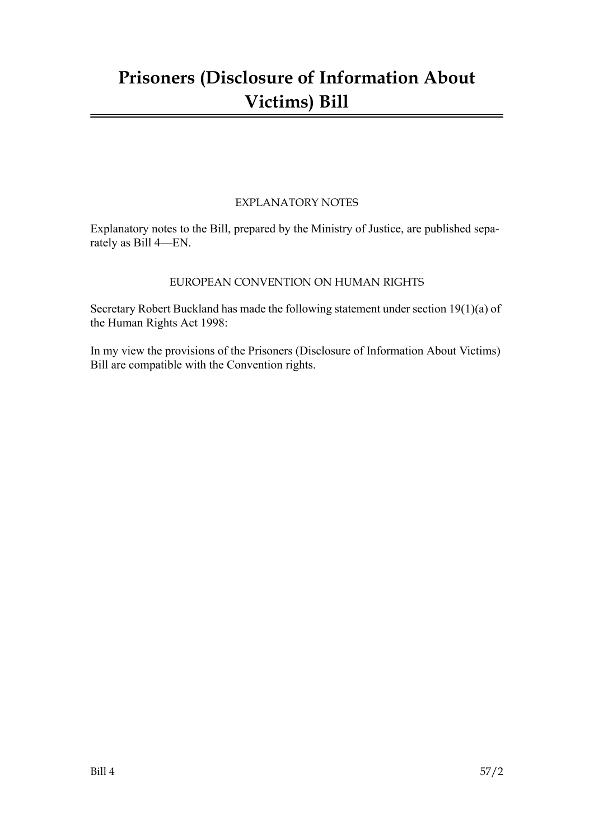# **Prisoners (Disclosure of Information About Victims) Bill**

### EXPLANATORY NOTES

Explanatory notes to the Bill, prepared by the Ministry of Justice, are published separately as Bill 4—EN.

### EUROPEAN CONVENTION ON HUMAN RIGHTS

Secretary Robert Buckland has made the following statement under section 19(1)(a) of the Human Rights Act 1998:

In my view the provisions of the Prisoners (Disclosure of Information About Victims) Bill are compatible with the Convention rights.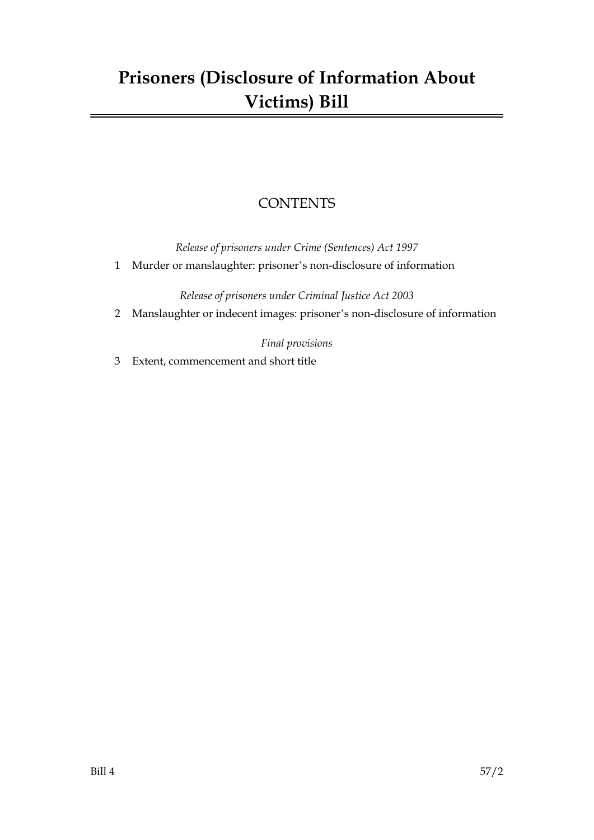# **Prisoners (Disclosure of Information About Victims) Bill**

### **CONTENTS**

*Release of prisoners under Crime (Sentences) Act 1997*

1 Murder or manslaughter: prisoner's non-disclosure of information

*Release of prisoners under Criminal Justice Act 2003*

2 Manslaughter or indecent images: prisoner's non-disclosure of information

*Final provisions*

3 Extent, commencement and short title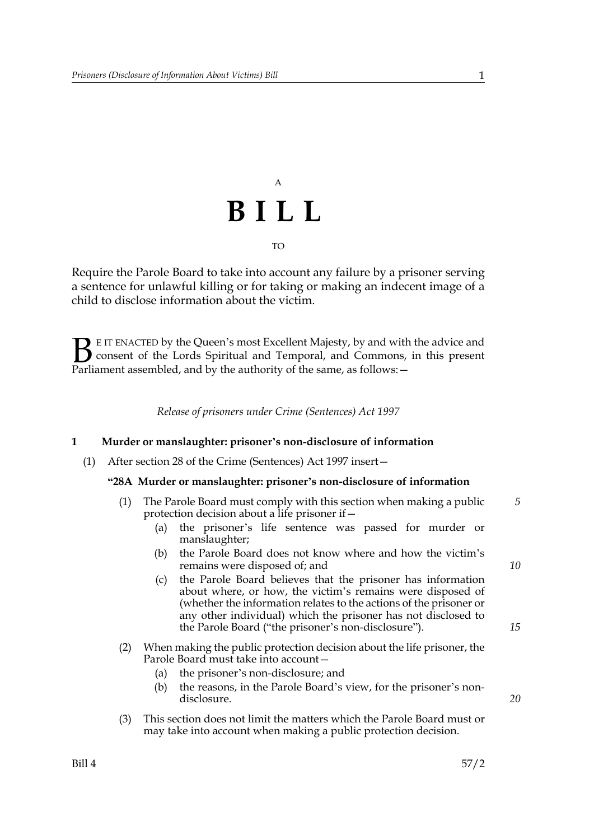# A **BILL** TO

Require the Parole Board to take into account any failure by a prisoner serving a sentence for unlawful killing or for taking or making an indecent image of a child to disclose information about the victim.

E IT ENACTED by the Queen's most Excellent Majesty, by and with the advice and consent of the Lords Spiritual and Temporal, and Commons, in this present Parliament assembled, and by the authority of the same, as follows: - $\mathbf{B}_{\text{e}$ 

*Release of prisoners under Crime (Sentences) Act 1997*

#### **1 Murder or manslaughter: prisoner's non-disclosure of information**

(1) After section 28 of the Crime (Sentences) Act 1997 insert—

#### **"28A Murder or manslaughter: prisoner's non-disclosure of information**

| (1) The Parole Board must comply with this section when making a public |  |
|-------------------------------------------------------------------------|--|
| protection decision about a life prisoner if $-$                        |  |

- (a) the prisoner's life sentence was passed for murder or manslaughter;
- (b) the Parole Board does not know where and how the victim's remains were disposed of; and
- (c) the Parole Board believes that the prisoner has information about where, or how, the victim's remains were disposed of (whether the information relates to the actions of the prisoner or any other individual) which the prisoner has not disclosed to the Parole Board ("the prisoner's non-disclosure").
- (2) When making the public protection decision about the life prisoner, the Parole Board must take into account—
	- (a) the prisoner's non-disclosure; and
	- (b) the reasons, in the Parole Board's view, for the prisoner's nondisclosure.
- (3) This section does not limit the matters which the Parole Board must or may take into account when making a public protection decision.

*10*

*15*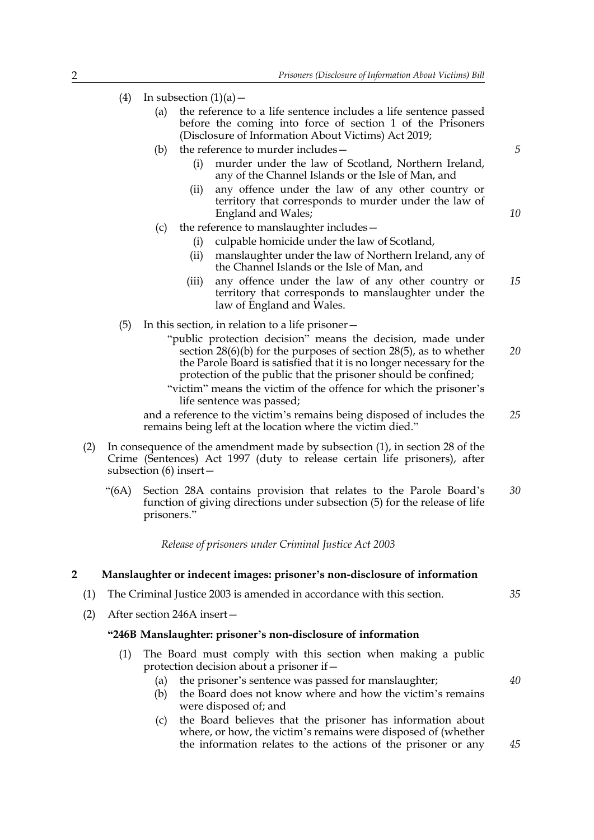| (4) |  | In subsection $(1)(a)$ – |  |
|-----|--|--------------------------|--|
|-----|--|--------------------------|--|

- (a) the reference to a life sentence includes a life sentence passed before the coming into force of section 1 of the Prisoners (Disclosure of Information About Victims) Act 2019;
- (b) the reference to murder includes— (i) murder under the law of Scotland, Northern Ireland, any of the Channel Islands or the Isle of Man, and
	- (ii) any offence under the law of any other country or territory that corresponds to murder under the law of England and Wales;
- (c) the reference to manslaughter includes—
	- (i) culpable homicide under the law of Scotland,
	- (ii) manslaughter under the law of Northern Ireland, any of the Channel Islands or the Isle of Man, and
	- (iii) any offence under the law of any other country or territory that corresponds to manslaughter under the law of England and Wales. *15*
- (5) In this section, in relation to a life prisoner—
	- "public protection decision" means the decision, made under section 28(6)(b) for the purposes of section 28(5), as to whether the Parole Board is satisfied that it is no longer necessary for the protection of the public that the prisoner should be confined; *20*
	- "victim" means the victim of the offence for which the prisoner's life sentence was passed;

and a reference to the victim's remains being disposed of includes the remains being left at the location where the victim died." *25*

- (2) In consequence of the amendment made by subsection (1), in section 28 of the Crime (Sentences) Act 1997 (duty to release certain life prisoners), after subsection (6) insert—
	- "(6A) Section 28A contains provision that relates to the Parole Board's function of giving directions under subsection (5) for the release of life prisoners." *30*

*Release of prisoners under Criminal Justice Act 2003*

#### **2 Manslaughter or indecent images: prisoner's non-disclosure of information**

- (1) The Criminal Justice 2003 is amended in accordance with this section.
- (2) After section 246A insert—

#### **"246B Manslaughter: prisoner's non-disclosure of information**

- (1) The Board must comply with this section when making a public protection decision about a prisoner if—
	- (a) the prisoner's sentence was passed for manslaughter;
	- (b) the Board does not know where and how the victim's remains were disposed of; and
	- (c) the Board believes that the prisoner has information about where, or how, the victim's remains were disposed of (whether the information relates to the actions of the prisoner or any

*5*

*10*

*35*

*40*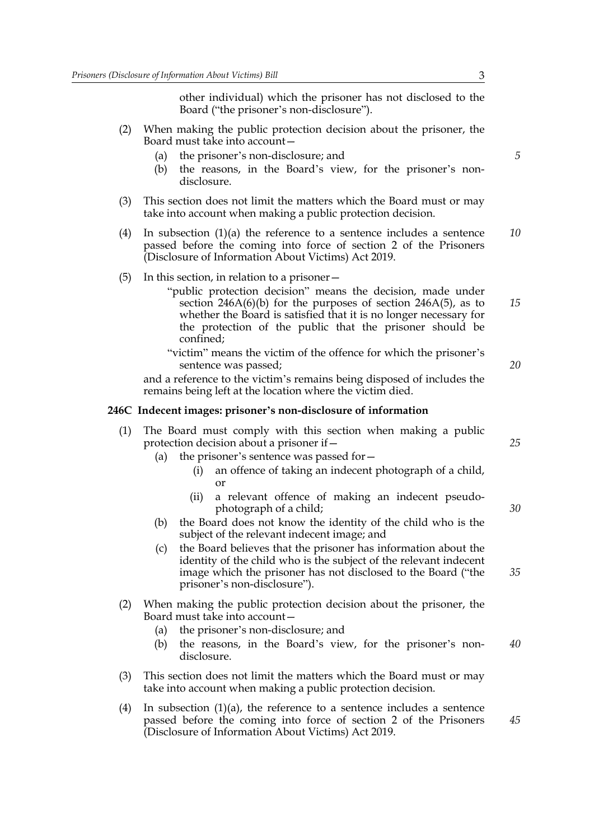other individual) which the prisoner has not disclosed to the Board ("the prisoner's non-disclosure").

- (2) When making the public protection decision about the prisoner, the Board must take into account—
	- (a) the prisoner's non-disclosure; and
	- (b) the reasons, in the Board's view, for the prisoner's nondisclosure.
- (3) This section does not limit the matters which the Board must or may take into account when making a public protection decision.
- (4) In subsection (1)(a) the reference to a sentence includes a sentence passed before the coming into force of section 2 of the Prisoners (Disclosure of Information About Victims) Act 2019. *10*
- (5) In this section, in relation to a prisoner—
	- "public protection decision" means the decision, made under section 246A(6)(b) for the purposes of section 246A(5), as to whether the Board is satisfied that it is no longer necessary for the protection of the public that the prisoner should be confined; *15*
	- "victim" means the victim of the offence for which the prisoner's sentence was passed;

and a reference to the victim's remains being disposed of includes the remains being left at the location where the victim died.

#### **246C Indecent images: prisoner's non-disclosure of information**

- (1) The Board must comply with this section when making a public protection decision about a prisoner if—
	- (a) the prisoner's sentence was passed for—
		- (i) an offence of taking an indecent photograph of a child, or
		- (ii) a relevant offence of making an indecent pseudophotograph of a child;
	- (b) the Board does not know the identity of the child who is the subject of the relevant indecent image; and
	- (c) the Board believes that the prisoner has information about the identity of the child who is the subject of the relevant indecent image which the prisoner has not disclosed to the Board ("the prisoner's non-disclosure").
- (2) When making the public protection decision about the prisoner, the Board must take into account—
	- (a) the prisoner's non-disclosure; and
	- (b) the reasons, in the Board's view, for the prisoner's nondisclosure. *40*
- (3) This section does not limit the matters which the Board must or may take into account when making a public protection decision.
- (4) In subsection  $(1)(a)$ , the reference to a sentence includes a sentence passed before the coming into force of section 2 of the Prisoners (Disclosure of Information About Victims) Act 2019.

*25*

*20*

*30*

*35*

*45*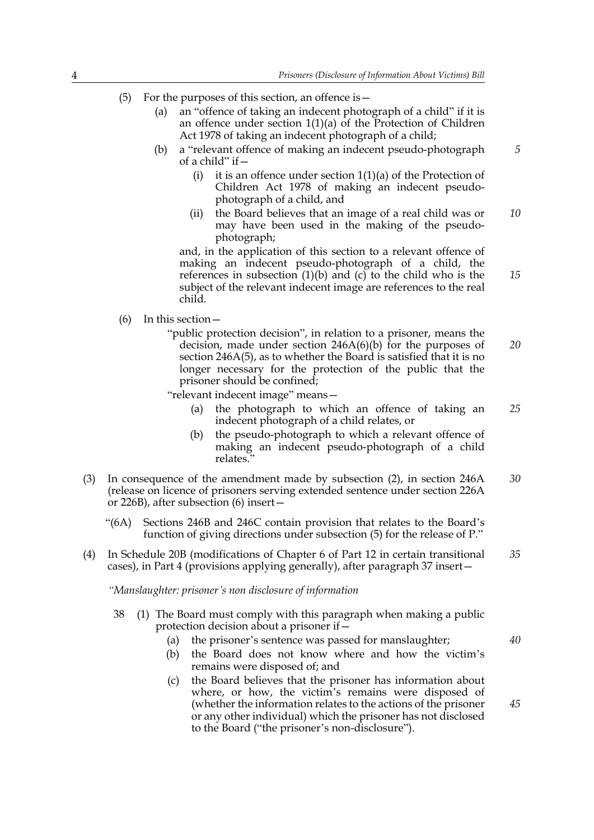- (5) For the purposes of this section, an offence is  $-$ 
	- (a) an "offence of taking an indecent photograph of a child" if it is an offence under section 1(1)(a) of the Protection of Children Act 1978 of taking an indecent photograph of a child;
	- (b) a "relevant offence of making an indecent pseudo-photograph of a child" if  $-$ 
		- (i) it is an offence under section  $1(1)(a)$  of the Protection of Children Act 1978 of making an indecent pseudophotograph of a child, and
		- (ii) the Board believes that an image of a real child was or may have been used in the making of the pseudophotograph; *10*

and, in the application of this section to a relevant offence of making an indecent pseudo-photograph of a child, the references in subsection  $(1)(b)$  and  $(c)$  to the child who is the subject of the relevant indecent image are references to the real child.

(6) In this section—

"public protection decision", in relation to a prisoner, means the decision, made under section 246A(6)(b) for the purposes of section 246A(5), as to whether the Board is satisfied that it is no longer necessary for the protection of the public that the prisoner should be confined; *20*

"relevant indecent image" means—

- (a) the photograph to which an offence of taking an indecent photograph of a child relates, or *25*
- (b) the pseudo-photograph to which a relevant offence of making an indecent pseudo-photograph of a child relates."
- (3) In consequence of the amendment made by subsection (2), in section 246A (release on licence of prisoners serving extended sentence under section 226A or 226B), after subsection (6) insert— *30*
	- "(6A) Sections 246B and 246C contain provision that relates to the Board's function of giving directions under subsection (5) for the release of P."
- (4) In Schedule 20B (modifications of Chapter 6 of Part 12 in certain transitional cases), in Part 4 (provisions applying generally), after paragraph 37 insert— *35*

*"Manslaughter: prisoner's non disclosure of information*

38 (1) The Board must comply with this paragraph when making a public protection decision about a prisoner if—

(a) the prisoner's sentence was passed for manslaughter;

*40*

*45*

*5*

- (b) the Board does not know where and how the victim's remains were disposed of; and
- (c) the Board believes that the prisoner has information about where, or how, the victim's remains were disposed of (whether the information relates to the actions of the prisoner or any other individual) which the prisoner has not disclosed to the Board ("the prisoner's non-disclosure").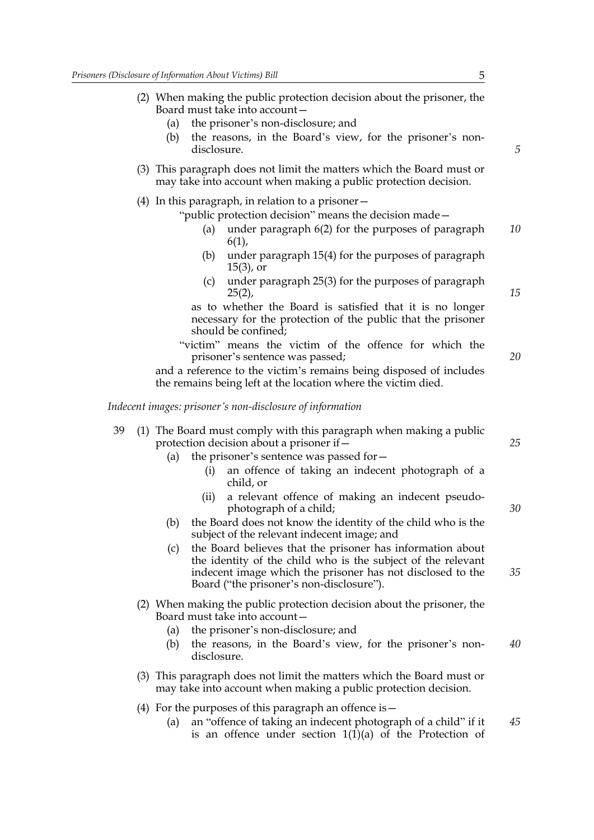- (2) When making the public protection decision about the prisoner, the Board must take into account—
	- (a) the prisoner's non-disclosure; and
	- (b) the reasons, in the Board's view, for the prisoner's nondisclosure.
- (3) This paragraph does not limit the matters which the Board must or may take into account when making a public protection decision.
- (4) In this paragraph, in relation to a prisoner—

"public protection decision" means the decision made—

- under paragraph  $6(2)$  for the purposes of paragraph 6(1), *10*
- (b) under paragraph 15(4) for the purposes of paragraph 15(3), or
- (c) under paragraph 25(3) for the purposes of paragraph  $25(2)$ ,

as to whether the Board is satisfied that it is no longer necessary for the protection of the public that the prisoner should be confined;

"victim" means the victim of the offence for which the prisoner's sentence was passed;

and a reference to the victim's remains being disposed of includes the remains being left at the location where the victim died.

*Indecent images: prisoner's non-disclosure of information*

- 39 (1) The Board must comply with this paragraph when making a public protection decision about a prisoner if—
	- (a) the prisoner's sentence was passed for—
		- (i) an offence of taking an indecent photograph of a child, or
		- (ii) a relevant offence of making an indecent pseudophotograph of a child;
	- (b) the Board does not know the identity of the child who is the subject of the relevant indecent image; and
	- (c) the Board believes that the prisoner has information about the identity of the child who is the subject of the relevant indecent image which the prisoner has not disclosed to the Board ("the prisoner's non-disclosure").
	- (2) When making the public protection decision about the prisoner, the Board must take into account—
		- (a) the prisoner's non-disclosure; and
		- (b) the reasons, in the Board's view, for the prisoner's nondisclosure. *40*
	- (3) This paragraph does not limit the matters which the Board must or may take into account when making a public protection decision.
	- (4) For the purposes of this paragraph an offence is—
		- (a) an "offence of taking an indecent photograph of a child" if it is an offence under section  $1(1)(a)$  of the Protection of *45*

*5*

*15*

*20*

*25*

*30*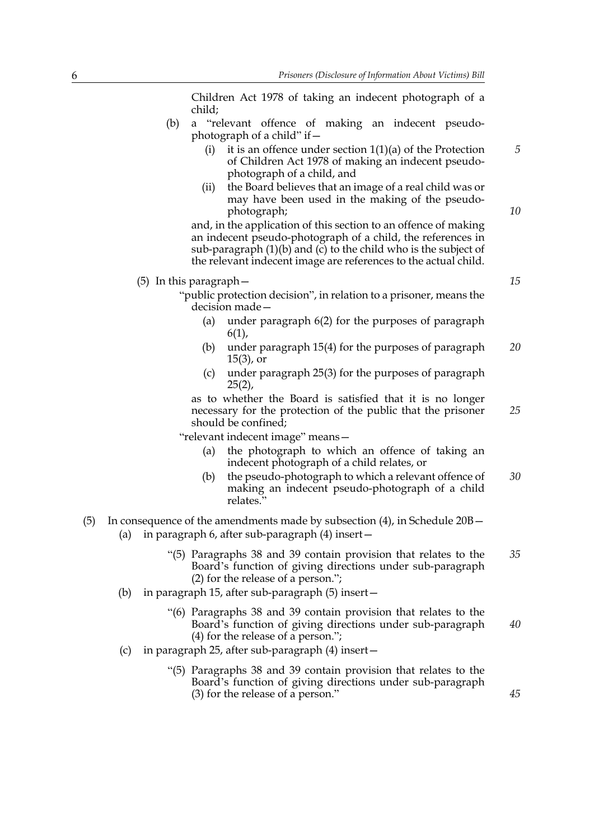Children Act 1978 of taking an indecent photograph of a child;

- (b) a "relevant offence of making an indecent pseudophotograph of a child" if—
	- (i) it is an offence under section  $1(1)(a)$  of the Protection of Children Act 1978 of making an indecent pseudophotograph of a child, and
	- (ii) the Board believes that an image of a real child was or may have been used in the making of the pseudophotograph;

and, in the application of this section to an offence of making an indecent pseudo-photograph of a child, the references in sub-paragraph  $(1)(b)$  and  $(c)$  to the child who is the subject of the relevant indecent image are references to the actual child.

#### (5) In this paragraph—

- "public protection decision", in relation to a prisoner, means the decision made—
	- (a) under paragraph 6(2) for the purposes of paragraph 6(1),
	- (b) under paragraph 15(4) for the purposes of paragraph 15(3), or *20*
	- (c) under paragraph 25(3) for the purposes of paragraph  $25(2)$ ,

as to whether the Board is satisfied that it is no longer necessary for the protection of the public that the prisoner should be confined; *25*

"relevant indecent image" means—

- (a) the photograph to which an offence of taking an indecent photograph of a child relates, or
- (b) the pseudo-photograph to which a relevant offence of making an indecent pseudo-photograph of a child relates." *30*
- (5) In consequence of the amendments made by subsection (4), in Schedule 20B—
	- (a) in paragraph 6, after sub-paragraph (4) insert—
		- "(5) Paragraphs 38 and 39 contain provision that relates to the Board's function of giving directions under sub-paragraph (2) for the release of a person."; *35*
	- (b) in paragraph 15, after sub-paragraph (5) insert—
		- "(6) Paragraphs 38 and 39 contain provision that relates to the Board's function of giving directions under sub-paragraph (4) for the release of a person."; *40*
	- (c) in paragraph 25, after sub-paragraph (4) insert—
		- "(5) Paragraphs 38 and 39 contain provision that relates to the Board's function of giving directions under sub-paragraph (3) for the release of a person."

*15*

*45*

*5*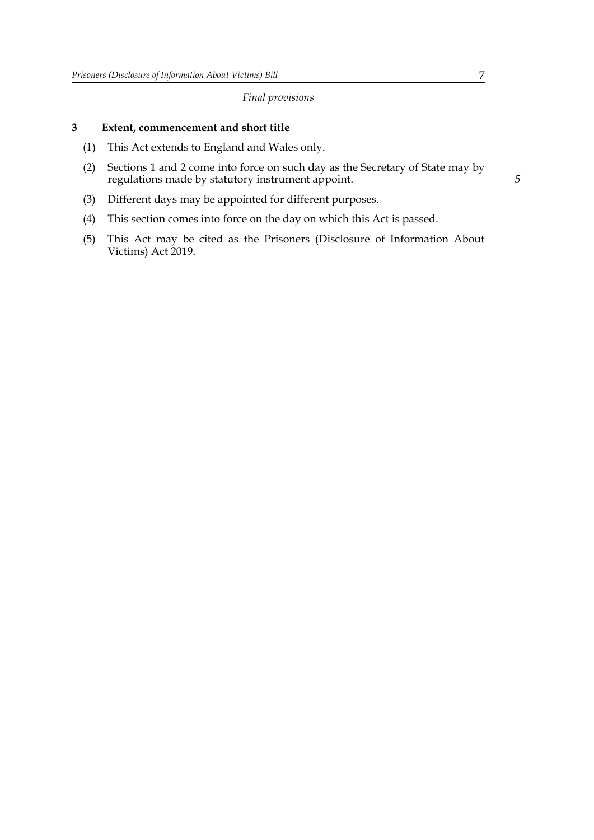#### *Final provisions*

### **3 Extent, commencement and short title**

- (1) This Act extends to England and Wales only.
- (2) Sections 1 and 2 come into force on such day as the Secretary of State may by regulations made by statutory instrument appoint.
- (3) Different days may be appointed for different purposes.
- (4) This section comes into force on the day on which this Act is passed.
- (5) This Act may be cited as the Prisoners (Disclosure of Information About Victims) Act 2019.